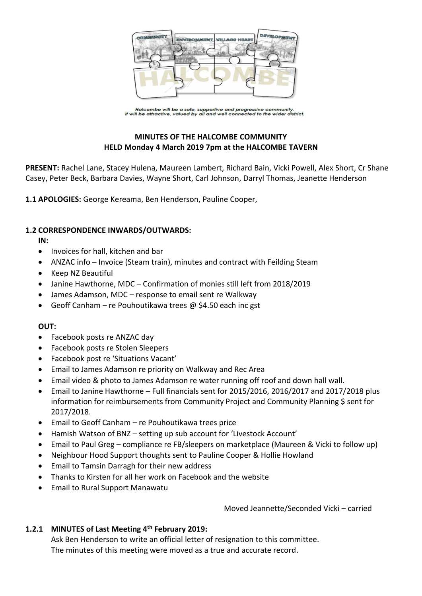

Halcombe will be a safe, supportive and progressive community.<br>It will be attractive, valued by all and well connected to the wider district.

# **MINUTES OF THE HALCOMBE COMMUNITY HELD Monday 4 March 2019 7pm at the HALCOMBE TAVERN**

**PRESENT:** Rachel Lane, Stacey Hulena, Maureen Lambert, Richard Bain, Vicki Powell, Alex Short, Cr Shane Casey, Peter Beck, Barbara Davies, Wayne Short, Carl Johnson, Darryl Thomas, Jeanette Henderson

**1.1 APOLOGIES:** George Kereama, Ben Henderson, Pauline Cooper,

## **1.2 CORRESPONDENCE INWARDS/OUTWARDS:**

**IN:** 

- Invoices for hall, kitchen and bar
- ANZAC info Invoice (Steam train), minutes and contract with Feilding Steam
- Keep NZ Beautiful
- Janine Hawthorne, MDC Confirmation of monies still left from 2018/2019
- James Adamson, MDC response to email sent re Walkway
- Geoff Canham re Pouhoutikawa trees  $\omega$  \$4.50 each inc gst

#### **OUT:**

- Facebook posts re ANZAC day
- Facebook posts re Stolen Sleepers
- Facebook post re 'Situations Vacant'
- Email to James Adamson re priority on Walkway and Rec Area
- Email video & photo to James Adamson re water running off roof and down hall wall.
- Email to Janine Hawthorne Full financials sent for 2015/2016, 2016/2017 and 2017/2018 plus information for reimbursements from Community Project and Community Planning \$ sent for 2017/2018.
- Email to Geoff Canham re Pouhoutikawa trees price
- Hamish Watson of BNZ setting up sub account for 'Livestock Account'
- Email to Paul Greg compliance re FB/sleepers on marketplace (Maureen & Vicki to follow up)
- Neighbour Hood Support thoughts sent to Pauline Cooper & Hollie Howland
- Email to Tamsin Darragh for their new address
- Thanks to Kirsten for all her work on Facebook and the website
- Email to Rural Support Manawatu

Moved Jeannette/Seconded Vicki – carried

# **1.2.1 MINUTES of Last Meeting 4 th February 2019:**

Ask Ben Henderson to write an official letter of resignation to this committee. The minutes of this meeting were moved as a true and accurate record.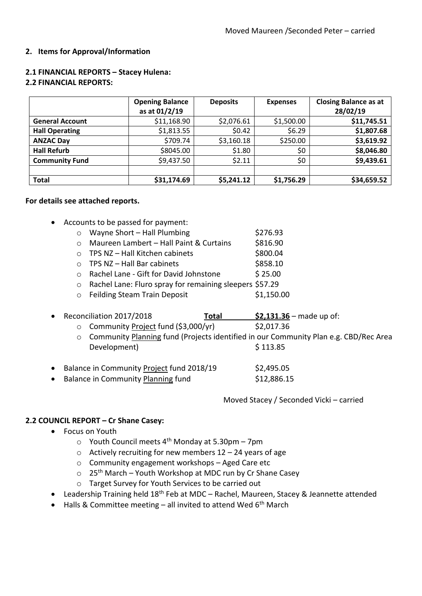## **2. Items for Approval/Information**

|                        | <b>Opening Balance</b><br>as at 01/2/19 | <b>Deposits</b> | <b>Expenses</b> | <b>Closing Balance as at</b><br>28/02/19 |
|------------------------|-----------------------------------------|-----------------|-----------------|------------------------------------------|
| <b>General Account</b> | \$11,168.90                             | \$2,076.61      | \$1,500.00      | \$11,745.51                              |
| <b>Hall Operating</b>  | \$1,813.55                              | \$0.42          | \$6.29          | \$1,807.68                               |
| <b>ANZAC Day</b>       | \$709.74                                | \$3,160.18      | \$250.00        | \$3,619.92                               |
| <b>Hall Refurb</b>     | \$8045.00                               | \$1.80          | \$0             | \$8,046.80                               |
| <b>Community Fund</b>  | \$9,437.50                              | \$2.11          | \$0             | \$9,439.61                               |
|                        |                                         |                 |                 |                                          |
| <b>Total</b>           | \$31,174.69                             | \$5,241.12      | \$1,756.29      | \$34,659.52                              |

# **2.1 FINANCIAL REPORTS – Stacey Hulena:**

# **2.2 FINANCIAL REPORTS:**

## **For details see attached reports.**

- Accounts to be passed for payment:
	- $\circ$  Wayne Short Hall Plumbing  $\circ$  \$276.93
	- $\circ$  Maureen Lambert Hall Paint & Curtains  $\qquad$  \$816.90
	- $\circ$  TPS NZ Hall Kitchen cabinets  $\circ$  \$800.04
	- o TPS NZ Hall Bar cabinets \$858.10
	- o Rachel Lane Gift for David Johnstone \$ 25.00
	- o Rachel Lane: Fluro spray for remaining sleepers \$57.29
	- o Feilding Steam Train Deposit \$1,150.00
- Reconciliation 2017/2018 **Total \$2,131.36** made up of:
	- $\circ$  Community Project fund (\$3,000/yr) \$2,017.36
	- o Community Planning fund (Projects identified in our Community Plan e.g. CBD/Rec Area Development) \$113.85

| Balance in Community Project fund 2018/19 | \$2,495.05  |
|-------------------------------------------|-------------|
| Balance in Community Planning fund        | \$12,886.15 |

Moved Stacey / Seconded Vicki – carried

## **2.2 COUNCIL REPORT – Cr Shane Casey:**

- Focus on Youth
	- $\circ$  Youth Council meets 4<sup>th</sup> Monday at 5.30pm 7pm
	- $\circ$  Actively recruiting for new members 12 24 years of age
	- o Community engagement workshops Aged Care etc
	- $\circ$  25<sup>th</sup> March Youth Workshop at MDC run by Cr Shane Casey
	- o Target Survey for Youth Services to be carried out
- Leadership Training held 18<sup>th</sup> Feb at MDC Rachel, Maureen, Stacey & Jeannette attended
- $\bullet$  Halls & Committee meeting all invited to attend Wed 6<sup>th</sup> March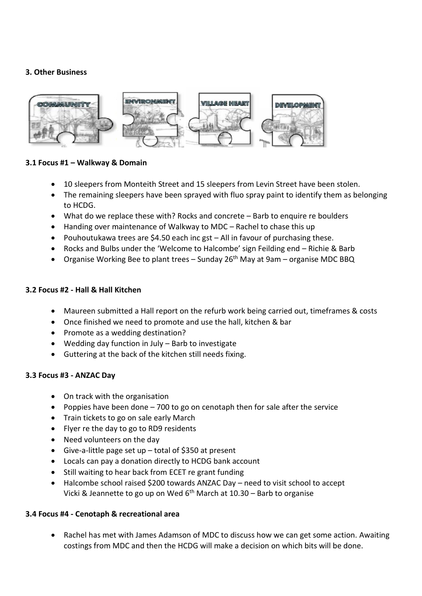## **3. Other Business**



## **3.1 Focus #1 – Walkway & Domain**

- 10 sleepers from Monteith Street and 15 sleepers from Levin Street have been stolen.
- The remaining sleepers have been sprayed with fluo spray paint to identify them as belonging to HCDG.
- What do we replace these with? Rocks and concrete Barb to enquire re boulders
- Handing over maintenance of Walkway to MDC Rachel to chase this up
- Pouhoutukawa trees are \$4.50 each inc gst All in favour of purchasing these.
- Rocks and Bulbs under the 'Welcome to Halcombe' sign Feilding end Richie & Barb
- Organise Working Bee to plant trees Sunday 26<sup>th</sup> May at 9am organise MDC BBQ

#### **3.2 Focus #2 - Hall & Hall Kitchen**

- Maureen submitted a Hall report on the refurb work being carried out, timeframes & costs
- Once finished we need to promote and use the hall, kitchen & bar
- Promote as a wedding destination?
- Wedding day function in July Barb to investigate
- Guttering at the back of the kitchen still needs fixing.

#### **3.3 Focus #3 - ANZAC Day**

- On track with the organisation
- Poppies have been done 700 to go on cenotaph then for sale after the service
- Train tickets to go on sale early March
- Flyer re the day to go to RD9 residents
- Need volunteers on the day
- Give-a-little page set up total of \$350 at present
- Locals can pay a donation directly to HCDG bank account
- Still waiting to hear back from ECET re grant funding
- Halcombe school raised \$200 towards ANZAC Day need to visit school to accept Vicki & Jeannette to go up on Wed  $6<sup>th</sup>$  March at 10.30 – Barb to organise

#### **3.4 Focus #4 - Cenotaph & recreational area**

 Rachel has met with James Adamson of MDC to discuss how we can get some action. Awaiting costings from MDC and then the HCDG will make a decision on which bits will be done.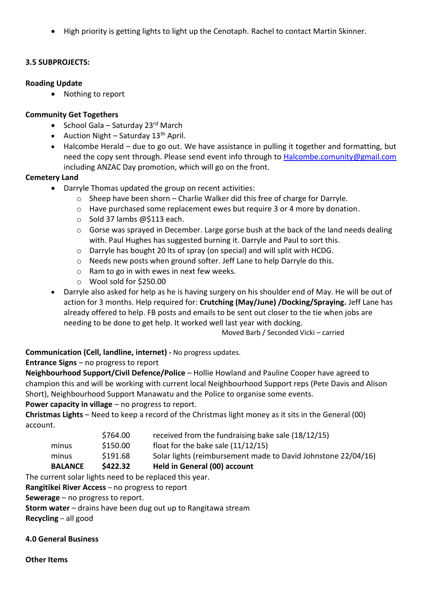High priority is getting lights to light up the Cenotaph. Rachel to contact Martin Skinner.

# **3.5 SUBPROJECTS:**

## **Roading Update**

• Nothing to report

## **Community Get Togethers**

- School Gala Saturday 23 $rd$  March
- Auction Night Saturday  $13<sup>th</sup>$  April.
- Halcombe Herald due to go out. We have assistance in pulling it together and formatting, but need the copy sent through. Please send event info through to [Halcombe.comunity@gmail.com](mailto:Halcombe.comunity@gmail.com) including ANZAC Day promotion, which will go on the front.

## **Cemetery Land**

- Darryle Thomas updated the group on recent activities:
	- o Sheep have been shorn Charlie Walker did this free of charge for Darryle.
	- o Have purchased some replacement ewes but require 3 or 4 more by donation.
	- o Sold 37 lambs @\$113 each.
	- o Gorse was sprayed in December. Large gorse bush at the back of the land needs dealing with. Paul Hughes has suggested burning it. Darryle and Paul to sort this.
	- $\circ$  Darryle has bought 20 lts of spray (on special) and will split with HCDG.
	- o Needs new posts when ground softer. Jeff Lane to help Darryle do this.
	- o Ram to go in with ewes in next few weeks.
	- o Wool sold for \$250.00
- Darryle also asked for help as he is having surgery on his shoulder end of May. He will be out of action for 3 months. Help required for: **Crutching (May/June) /Docking/Spraying.** Jeff Lane has already offered to help. FB posts and emails to be sent out closer to the tie when jobs are needing to be done to get help. It worked well last year with docking.

Moved Barb / Seconded Vicki – carried

**Communication (Cell, landline, internet) -** No progress updates.

## **Entrance Signs** – no progress to report

**Neighbourhood Support/Civil Defence/Police** – Hollie Howland and Pauline Cooper have agreed to champion this and will be working with current local Neighbourhood Support reps (Pete Davis and Alison Short), Neighbourhood Support Manawatu and the Police to organise some events.

**Power capacity in village** – no progress to report.

**Christmas Lights** – Need to keep a record of the Christmas light money as it sits in the General (00) account.

| <b>BALANCE</b> | \$422.32 | Held in General (00) account                                  |
|----------------|----------|---------------------------------------------------------------|
| minus          | \$191.68 | Solar lights (reimbursement made to David Johnstone 22/04/16) |
| minus          | \$150.00 | float for the bake sale $(11/12/15)$                          |
|                | \$764.00 | received from the fundraising bake sale (18/12/15)            |

The current solar lights need to be replaced this year.

**Rangitikei River Access** – no progress to report

**Sewerage** – no progress to report.

**Storm water** – drains have been dug out up to Rangitawa stream

**Recycling** – all good

## **4.0 General Business**

**Other Items**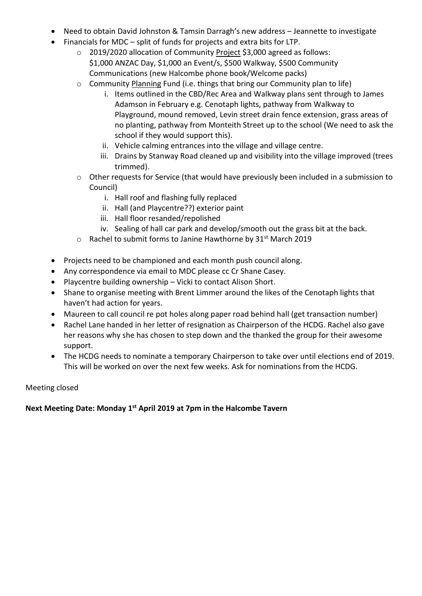- Need to obtain David Johnston & Tamsin Darragh's new address Jeannette to investigate
- Financials for MDC split of funds for projects and extra bits for LTP.
	- o 2019/2020 allocation of Community Project \$3,000 agreed as follows: \$1,000 ANZAC Day, \$1,000 an Event/s, \$500 Walkway, \$500 Community Communications (new Halcombe phone book/Welcome packs)
	- o Community Planning Fund (i.e. things that bring our Community plan to life)
		- i. Items outlined in the CBD/Rec Area and Walkway plans sent through to James Adamson in February e.g. Cenotaph lights, pathway from Walkway to Playground, mound removed, Levin street drain fence extension, grass areas of no planting, pathway from Monteith Street up to the school (We need to ask the school if they would support this).
		- ii. Vehicle calming entrances into the village and village centre.
		- iii. Drains by Stanway Road cleaned up and visibility into the village improved (trees trimmed).
	- o Other requests for Service (that would have previously been included in a submission to Council)
		- i. Hall roof and flashing fully replaced
		- ii. Hall (and Playcentre??) exterior paint
		- iii. Hall floor resanded/repolished
		- iv. Sealing of hall car park and develop/smooth out the grass bit at the back.
	- $\circ$  Rachel to submit forms to Janine Hawthorne by 31<sup>st</sup> March 2019
- Projects need to be championed and each month push council along.
- Any correspondence via email to MDC please cc Cr Shane Casey.
- Playcentre building ownership Vicki to contact Alison Short.
- Shane to organise meeting with Brent Limmer around the likes of the Cenotaph lights that haven't had action for years.
- Maureen to call council re pot holes along paper road behind hall (get transaction number)
- Rachel Lane handed in her letter of resignation as Chairperson of the HCDG. Rachel also gave her reasons why she has chosen to step down and the thanked the group for their awesome support.
- The HCDG needs to nominate a temporary Chairperson to take over until elections end of 2019. This will be worked on over the next few weeks. Ask for nominations from the HCDG.

## Meeting closed

**Next Meeting Date: Monday 1 st April 2019 at 7pm in the Halcombe Tavern**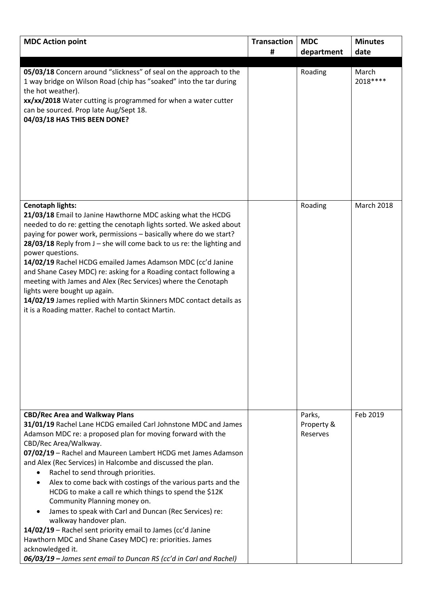| <b>MDC Action point</b>                                                                                                                                                                                                                                                                                                                                                                                                                                                                                                                                                                                                                                                                                                                                                                                                                                          | <b>Transaction</b> | <b>MDC</b>                       | <b>Minutes</b>     |
|------------------------------------------------------------------------------------------------------------------------------------------------------------------------------------------------------------------------------------------------------------------------------------------------------------------------------------------------------------------------------------------------------------------------------------------------------------------------------------------------------------------------------------------------------------------------------------------------------------------------------------------------------------------------------------------------------------------------------------------------------------------------------------------------------------------------------------------------------------------|--------------------|----------------------------------|--------------------|
|                                                                                                                                                                                                                                                                                                                                                                                                                                                                                                                                                                                                                                                                                                                                                                                                                                                                  | #                  | department                       | date               |
|                                                                                                                                                                                                                                                                                                                                                                                                                                                                                                                                                                                                                                                                                                                                                                                                                                                                  |                    |                                  |                    |
| 05/03/18 Concern around "slickness" of seal on the approach to the<br>1 way bridge on Wilson Road (chip has "soaked" into the tar during<br>the hot weather).<br>xx/xx/2018 Water cutting is programmed for when a water cutter<br>can be sourced. Prop late Aug/Sept 18.<br>04/03/18 HAS THIS BEEN DONE?                                                                                                                                                                                                                                                                                                                                                                                                                                                                                                                                                        |                    | Roading                          | March<br>2018 **** |
| <b>Cenotaph lights:</b><br>21/03/18 Email to Janine Hawthorne MDC asking what the HCDG<br>needed to do re: getting the cenotaph lights sorted. We asked about<br>paying for power work, permissions - basically where do we start?<br>$28/03/18$ Reply from J – she will come back to us re: the lighting and<br>power questions.<br>14/02/19 Rachel HCDG emailed James Adamson MDC (cc'd Janine<br>and Shane Casey MDC) re: asking for a Roading contact following a<br>meeting with James and Alex (Rec Services) where the Cenotaph<br>lights were bought up again.<br>14/02/19 James replied with Martin Skinners MDC contact details as<br>it is a Roading matter. Rachel to contact Martin.                                                                                                                                                                |                    | Roading                          | <b>March 2018</b>  |
| <b>CBD/Rec Area and Walkway Plans</b><br>31/01/19 Rachel Lane HCDG emailed Carl Johnstone MDC and James<br>Adamson MDC re: a proposed plan for moving forward with the<br>CBD/Rec Area/Walkway.<br>07/02/19 - Rachel and Maureen Lambert HCDG met James Adamson<br>and Alex (Rec Services) in Halcombe and discussed the plan.<br>Rachel to send through priorities.<br>$\bullet$<br>Alex to come back with costings of the various parts and the<br>$\bullet$<br>HCDG to make a call re which things to spend the \$12K<br>Community Planning money on.<br>James to speak with Carl and Duncan (Rec Services) re:<br>walkway handover plan.<br>14/02/19 - Rachel sent priority email to James (cc'd Janine<br>Hawthorn MDC and Shane Casey MDC) re: priorities. James<br>acknowledged it.<br>06/03/19 - James sent email to Duncan RS (cc'd in Carl and Rachel) |                    | Parks,<br>Property &<br>Reserves | Feb 2019           |